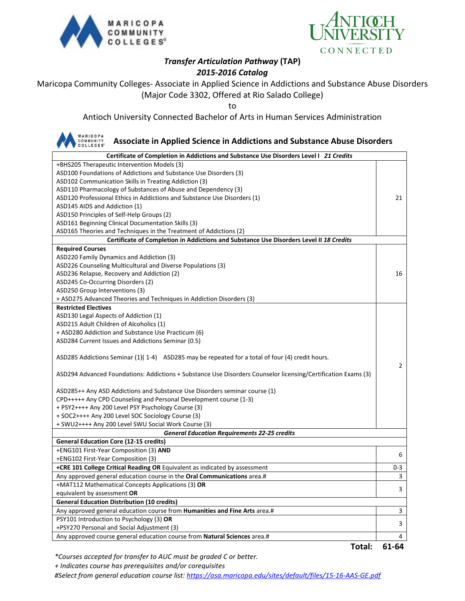



# *Transfer Articulation Pathway* **(TAP)**

## *2015-2016 Catalog*

Maricopa Community Colleges- Associate in Applied Science in Addictions and Substance Abuse Disorders (Major Code 3302, Offered at Rio Salado College)

to

Antioch University Connected Bachelor of Arts in Human Services Administration

#### **MARICOPA COMMUNITY**<br>COLLEGES<sup>®</sup> **Associate in Applied Science in Addictions and Substance Abuse Disorders Certificate of Completion in Addictions and Substance Use Disorders Level I** *21 Credits* +BHS205 Therapeutic Intervention Models (3) ASD100 Foundations of Addictions and Substance Use Disorders (3) ASD102 Communication Skills in Treating Addiction (3) ASD110 Pharmacology of Substances of Abuse and Dependency (3) ASD120 Professional Ethics in Addictions and Substance Use Disorders (1) 21 ASD145 AIDS and Addiction (1) ASD150 Principles of Self-Help Groups (2) ASD161 Beginning Clinical Documentation Skills (3) ASD165 Theories and Techniques in the Treatment of Addictions (2) **Certificate of Completion in Addictions and Substance Use Disorders Level II** *18 Credits* **Required Courses** ASD220 Family Dynamics and Addiction (3) ASD226 Counseling Multicultural and Diverse Populations (3) ASD236 Relapse, Recovery and Addiction (2) 16 ASD245 Co-Occurring Disorders (2) ASD250 Group Interventions (3) + ASD275 Advanced Theories and Techniques in Addiction Disorders (3) **Restricted Electives** ASD130 Legal Aspects of Addiction (1) ASD215 Adult Children of Alcoholics (1) + ASD280 Addiction and Substance Use Practicum (6) ASD284 Current Issues and Addictions Seminar (0.5) ASD285 Addictions Seminar (1)( 1-4) ASD285 may be repeated for a total of four (4) credit hours. 2 ASD294 Advanced Foundations: Addictions + Substance Use Disorders Counselor licensing/Certification Exams (3) ASD285++ Any ASD Addictions and Substance Use Disorders seminar course (1) CPD+++++ Any CPD Counseling and Personal Development course (1-3) + PSY2++++ Any 200 Level PSY Psychology Course (3) + SOC2++++ Any 200 Level SOC Sociology Course (3) + SWU2++++ Any 200 Level SWU Social Work Course (3) *General Education Requirements 22-25 credits* **General Education Core (12-15 credits)** +ENG101 First-Year Composition (3) **AND** +ENG102 First-Year Composition (3) <sup>6</sup> **+CRE 101 College Critical Reading OR** Equivalent as indicated by assessment 0-3 Any approved general education course in the **Oral Communications** area.# 3 +MAT112 Mathematical Concepts Applications (3) **OR** equivalent by assessment **OR** 3 3 3 3 3 3 3 3 3 3 3 4 3 3 3 3 4  $\sigma$  3 3 4  $\sigma$  3 3 4  $\sigma$  3 3 4  $\sigma$  3 3 3 4  $\sigma$  3 3 4  $\sigma$  3 3 4  $\sigma$  3 3 4  $\sigma$  3 3 4  $\sigma$  3 3 4  $\sigma$  3 4  $\sigma$  3 4  $\sigma$  3 4  $\sigma$  3 4  $\sigma$  3 4  $\sigma$  3 4  $\sigma$ **General Education Distribution (10 credits)** Any approved general education course from **Humanities and Fine Arts** area.# **3** 3 PSY101 Introduction to Psychology (3) **OR** +PSY270 Personal and Social Adjustment (3) <sup>3</sup> Any approved course general education course from **Natural Sciences** area.# 4

**Total: 61-64**

*\*Courses accepted for transfer to AUC must be graded C or better.*

 *+ Indicates course has prerequisites and/or corequisites*

*#Select from general education course list:<https://asa.maricopa.edu/sites/default/files/15-16-AAS-GE.pdf>*